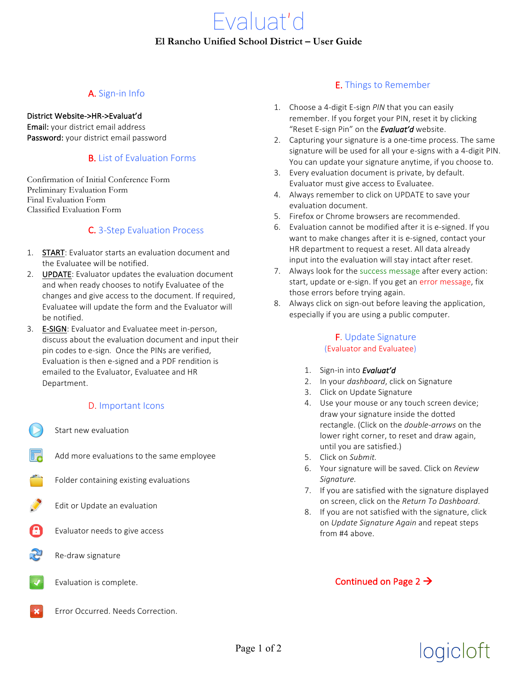# A. Sign-in Info

### District Website->HR->Evaluat'd

Email: your district email address Password: your district email password

### **B.** List of Evaluation Forms

Confirmation of Initial Conference Form Preliminary Evaluation Form Final Evaluation Form Classified Evaluation Form

## **C.** 3-Step Evaluation Process

- 1. **START:** Evaluator starts an evaluation document and the Evaluatee will be notified.
- 2. **UPDATE:** Evaluator updates the evaluation document and when ready chooses to notify Evaluatee of the changes and give access to the document. If required, Evaluatee will update the form and the Evaluator will be notified.
- 3. **E-SIGN**: Evaluator and Evaluatee meet in-person, discuss about the evaluation document and input their pin codes to e-sign. Once the PINs are verified, Evaluation is then e-signed and a PDF rendition is emailed to the Evaluator, Evaluatee and HR Department.

### D. Important Icons

- Start new evaluation
- Add more evaluations to the same employee
- Folder containing existing evaluations
- Edit or Update an evaluation
- Evaluator needs to give access
- Re-draw signature
- Evaluation is complete.
- Error Occurred. Needs Correction.

### **E.** Things to Remember

- 1. Choose a 4-digit E-sign *PIN* that you can easily remember. If you forget your PIN, reset it by clicking "Reset E-sign Pin" on the **Evaluat'd** website.
- 2. Capturing your signature is a one-time process. The same signature will be used for all your e-signs with a 4-digit PIN. You can update your signature anytime, if you choose to.
- 3. Every evaluation document is private, by default. Evaluator must give access to Evaluatee.
- 4. Always remember to click on UPDATE to save your evaluation document.
- 5. Firefox or Chrome browsers are recommended.
- 6. Evaluation cannot be modified after it is e-signed. If you want to make changes after it is e-signed, contact your HR department to request a reset. All data already input into the evaluation will stay intact after reset.
- 7. Always look for the success message after every action: start, update or e-sign. If you get an error message, fix those errors before trying again.
- 8. Always click on sign-out before leaving the application, especially if you are using a public computer.

### **F.** Update Signature (Evaluator and Evaluatee)

- 1. Sign-in into **Evaluat'd**
- 2. In your *dashboard*, click on Signature
- 3. Click on Update Signature
- 4. Use your mouse or any touch screen device; draw your signature inside the dotted rectangle. (Click on the *double-arrows* on the lower right corner, to reset and draw again, until you are satisfied.)
- 5. Click on Submit.
- 6. Your signature will be saved. Click on *Review Signature.*
- 7. If you are satisfied with the signature displayed on screen, click on the *Return To Dashboard*.
- 8. If you are not satisfied with the signature, click on *Update Signature Again* and repeat steps from #4 above.

# Continued on Page 2  $\rightarrow$

# logicloft